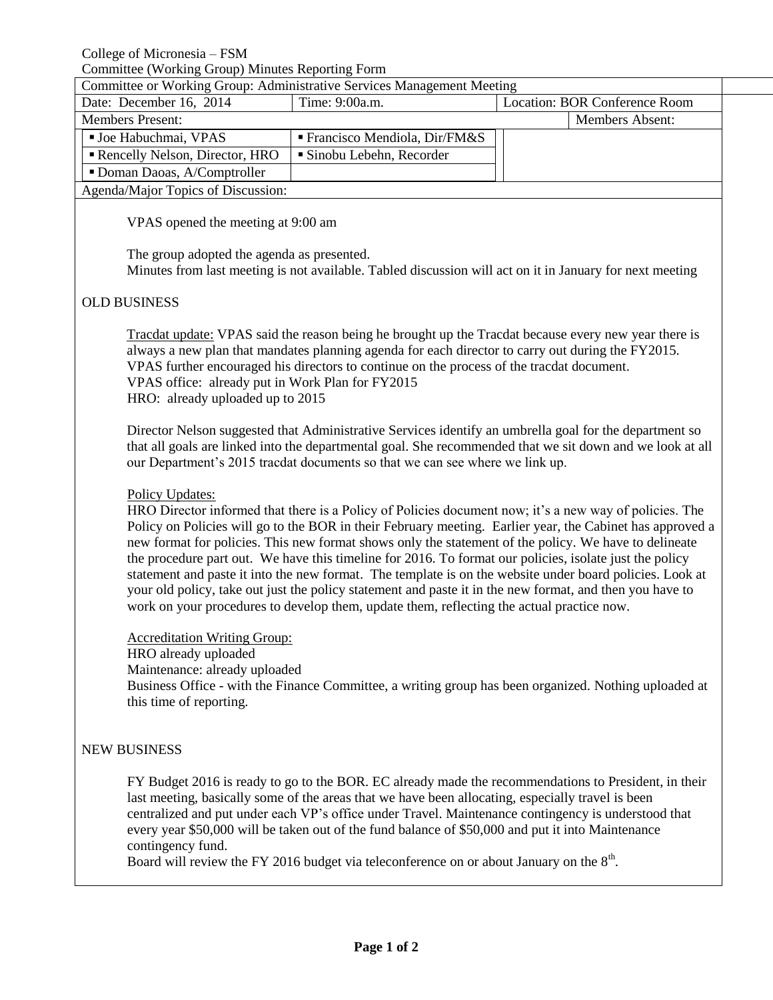College of Micronesia – FSM

Committee (Working Group) Minutes Reporting Form

| Committee or Working Group: Administrative Services Management Meeting |                                             |                               |                        |
|------------------------------------------------------------------------|---------------------------------------------|-------------------------------|------------------------|
| Date: December 16, 2014                                                | Time: 9:00a.m.                              | Location: BOR Conference Room |                        |
| <b>Members Present:</b>                                                |                                             |                               | <b>Members Absent:</b> |
| ■ Joe Habuchmai, VPAS                                                  | $\blacksquare$ Francisco Mendiola, Dir/FM&S |                               |                        |
| Rencelly Nelson, Director, HRO                                         | ■ Sinobu Lebehn, Recorder                   |                               |                        |
| Doman Daoas, A/Comptroller                                             |                                             |                               |                        |
| Agenda/Major Topics of Discussion:                                     |                                             |                               |                        |

VPAS opened the meeting at 9:00 am

The group adopted the agenda as presented. Minutes from last meeting is not available. Tabled discussion will act on it in January for next meeting

## OLD BUSINESS

Tracdat update: VPAS said the reason being he brought up the Tracdat because every new year there is always a new plan that mandates planning agenda for each director to carry out during the FY2015. VPAS further encouraged his directors to continue on the process of the tracdat document. VPAS office: already put in Work Plan for FY2015 HRO: already uploaded up to 2015

Director Nelson suggested that Administrative Services identify an umbrella goal for the department so that all goals are linked into the departmental goal. She recommended that we sit down and we look at all our Department's 2015 tracdat documents so that we can see where we link up.

## Policy Updates:

HRO Director informed that there is a Policy of Policies document now; it's a new way of policies. The Policy on Policies will go to the BOR in their February meeting. Earlier year, the Cabinet has approved a new format for policies. This new format shows only the statement of the policy. We have to delineate the procedure part out. We have this timeline for 2016. To format our policies, isolate just the policy statement and paste it into the new format. The template is on the website under board policies. Look at your old policy, take out just the policy statement and paste it in the new format, and then you have to work on your procedures to develop them, update them, reflecting the actual practice now.

Accreditation Writing Group: HRO already uploaded Maintenance: already uploaded Business Office - with the Finance Committee, a writing group has been organized. Nothing uploaded at this time of reporting.

## NEW BUSINESS

FY Budget 2016 is ready to go to the BOR. EC already made the recommendations to President, in their last meeting, basically some of the areas that we have been allocating, especially travel is been centralized and put under each VP's office under Travel. Maintenance contingency is understood that every year \$50,000 will be taken out of the fund balance of \$50,000 and put it into Maintenance contingency fund.

Board will review the FY 2016 budget via teleconference on or about January on the  $8<sup>th</sup>$ .